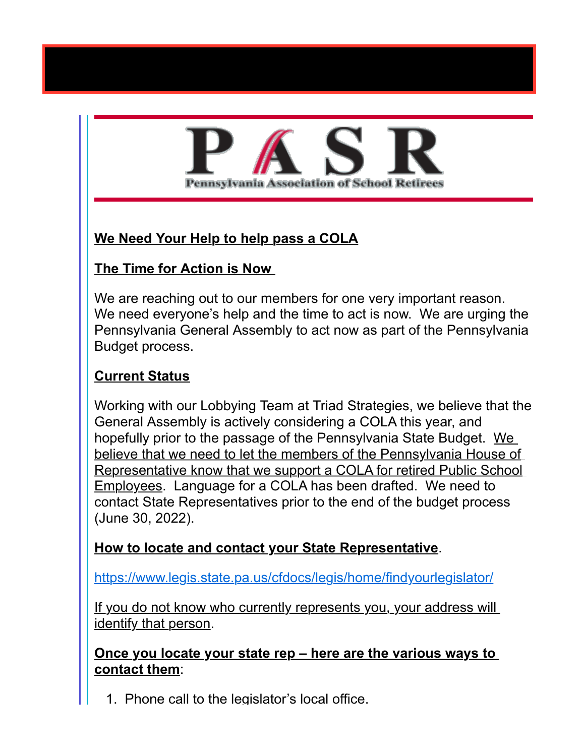# <u>Pennsylvania Association of School Reti</u>

# **We Need Your Help to help pass a COLA**

### **The Time for Action is Now**

We are reaching out to our members for one very important reason. We need everyone's help and the time to act is now. We are urging the Pennsylvania General Assembly to act now as part of the Pennsylvania Budget process.

# **Current Status**

Working with our Lobbying Team at Triad Strategies, we believe that the General Assembly is actively considering a COLA this year, and hopefully prior to the passage of the Pennsylvania State Budget. We believe that we need to let the members of the Pennsylvania House of Representative know that we support a COLA for retired Public School Employees. Language for a COLA has been drafted. We need to contact State Representatives prior to the end of the budget process (June 30, 2022).

### **How to locate and contact your State Representative**.

[https://www.legis.state.pa.us/cfdocs/legis/home/findyourlegislator/](https://www.legis.state.pa.us/cfdocs/legis/home/findyourlegislator/?etm=5759267&etx=https%3A%2F%2Fwww.legis.state.pa.us%2Fcfdocs%2Flegis%2Fhome%2Ffindyourlegislator%2F)

If you do not know who currently represents you, your address will identify that person.

**Once you locate your state rep – here are the various ways to contact them**:

1. Phone call to the legislator's local office.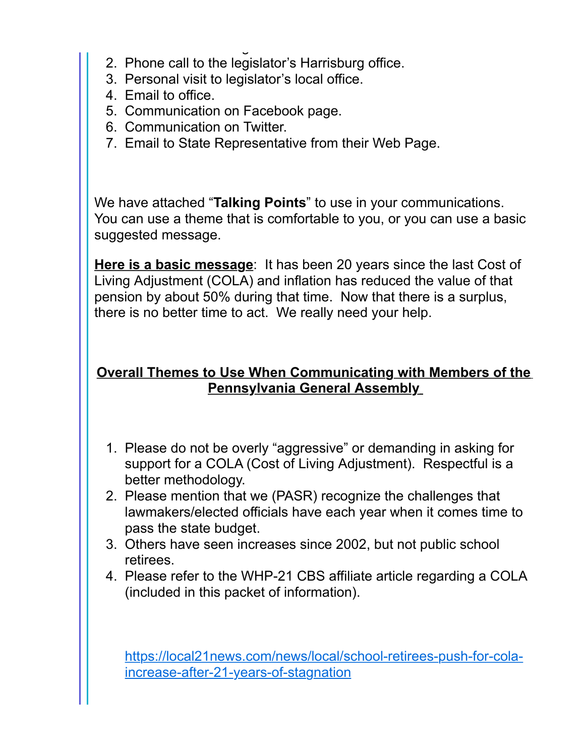- 1. Phone call to the legislator's local office. 2. Phone call to the legislator's Harrisburg office.
- 3. Personal visit to legislator's local office.
- 4. Email to office.
- 5. Communication on Facebook page.
- 6. Communication on Twitter.
- 7. Email to State Representative from their Web Page.

We have attached "**Talking Points**" to use in your communications. You can use a theme that is comfortable to you, or you can use a basic suggested message.

**Here is a basic message**: It has been 20 years since the last Cost of Living Adjustment (COLA) and inflation has reduced the value of that pension by about 50% during that time. Now that there is a surplus, there is no better time to act. We really need your help.

# **Overall Themes to Use When Communicating with Members of the Pennsylvania General Assembly**

- 1. Please do not be overly "aggressive" or demanding in asking for support for a COLA (Cost of Living Adjustment). Respectful is a better methodology.
- 2. Please mention that we (PASR) recognize the challenges that lawmakers/elected officials have each year when it comes time to pass the state budget.
- 3. Others have seen increases since 2002, but not public school retirees.
- 4. Please refer to the WHP-21 CBS affiliate article regarding a COLA (included in this packet of information).

[https://local21news.com/news/local/school-retirees-push-for-cola](https://local21news.com/news/local/school-retirees-push-for-cola-increase-after-21-years-of-stagnation?etm=5759267&etx=https%3A%2F%2Flocal21news.com%2Fnews%2Flocal%2Fschool-retirees-push-for-cola-increase-after-21-years-of-stagnation)increase-after-21-years-of-stagnation